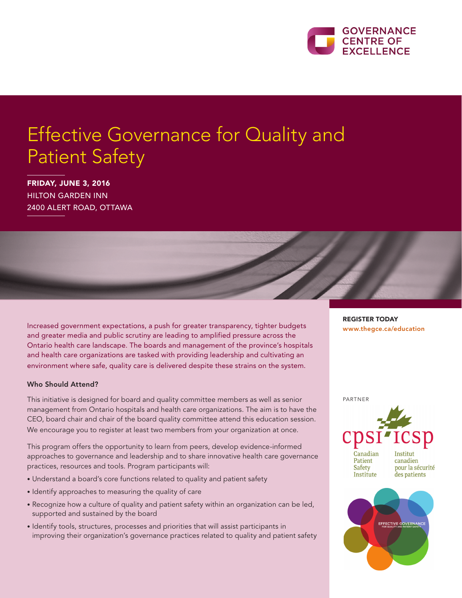

# Effective Governance for Quality and Patient Safety

FRIDAY, JUNE 3, 2016 HILTON GARDEN INN 2400 ALERT ROAD, OTTAWA

Increased government expectations, a push for greater transparency, tighter budgets and greater media and public scrutiny are leading to amplified pressure across the Ontario health care landscape. The boards and management of the province's hospitals and health care organizations are tasked with providing leadership and cultivating an environment where safe, quality care is delivered despite these strains on the system.

#### Who Should Attend?

This initiative is designed for board and quality committee members as well as senior management from Ontario hospitals and health care organizations. The aim is to have the CEO, board chair and chair of the board quality committee attend this education session. We encourage you to register at least two members from your organization at once.

This program offers the opportunity to learn from peers, develop evidence-informed approaches to governance and leadership and to share innovative health care governance practices, resources and tools. Program participants will:

- Understand a board's core functions related to quality and patient safety
- Identify approaches to measuring the quality of care
- Recognize how a culture of quality and patient safety within an organization can be led, supported and sustained by the board
- Identify tools, structures, processes and priorities that will assist participants in improving their organization's governance practices related to quality and patient safety

REGISTER TODAY www.thegce.ca/education

PARTNER





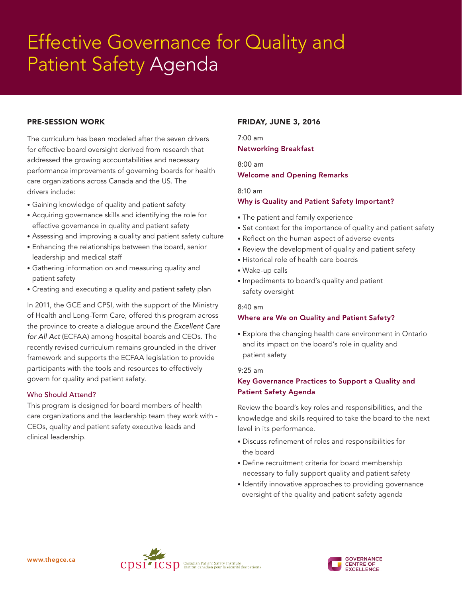# Fffective Governance for Quality and For Fort Care and Care From James Effective Governance for Quality and Patient Safety Agenda

### PRE-SESSION WORK

The curriculum has been modeled after the seven drivers for effective board oversight derived from research that addressed the growing accountabilities and necessary performance improvements of governing boards for health care organizations across Canada and the US. The drivers include:

- Gaining knowledge of quality and patient safety
- Acquiring governance skills and identifying the role for effective governance in quality and patient safety
- Assessing and improving a quality and patient safety culture
- Enhancing the relationships between the board, senior leadership and medical staff
- Gathering information on and measuring quality and patient safety
- Creating and executing a quality and patient safety plan

In 2011, the GCE and CPSI, with the support of the Ministry of Health and Long-Term Care, offered this program across the province to create a dialogue around the *Excellent Care for All Act* (ECFAA) among hospital boards and CEOs. The recently revised curriculum remains grounded in the driver framework and supports the ECFAA legislation to provide participants with the tools and resources to effectively govern for quality and patient safety.

#### Who Should Attend?

This program is designed for board members of health care organizations and the leadership team they work with - CEOs, quality and patient safety executive leads and clinical leadership.

### FRIDAY, JUNE 3, 2016

7:00 am Networking Breakfast

8:00 am Welcome and Opening Remarks

#### 8:10 am

#### Why is Quality and Patient Safety Important?

- The patient and family experience
- Set context for the importance of quality and patient safety
- Reflect on the human aspect of adverse events
- Review the development of quality and patient safety
- Historical role of health care boards
- Wake-up calls
- Impediments to board's quality and patient safety oversight

#### 8:40 am

#### Where are We on Quality and Patient Safety?

• Explore the changing health care environment in Ontario and its impact on the board's role in quality and patient safety

#### 9:25 am

# Key Governance Practices to Support a Quality and Patient Safety Agenda

Review the board's key roles and responsibilities, and the knowledge and skills required to take the board to the next level in its performance.

- Discuss refinement of roles and responsibilities for the board
- Define recruitment criteria for board membership necessary to fully support quality and patient safety
- Identify innovative approaches to providing governance oversight of the quality and patient safety agenda



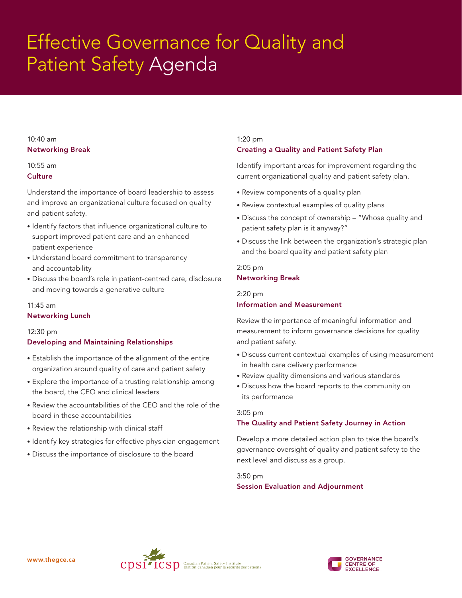# $Fff$ ective Governance for Quality and  $Fff$ Forcessionals Care State Care Force, Care et al.<br>Patient Safety Agenda Effective Governance for Quality and Patient Safety Agenda

### 10:40 am Networking Break

# 10:55 am

**Culture** 

Understand the importance of board leadership to assess and improve an organizational culture focused on quality and patient safety.

- Identify factors that influence organizational culture to support improved patient care and an enhanced patient experience
- Understand board commitment to transparency and accountability
- Discuss the board's role in patient-centred care, disclosure and moving towards a generative culture

# 11:45 am

Networking Lunch

# 12:30 pm

# Developing and Maintaining Relationships

- Establish the importance of the alignment of the entire organization around quality of care and patient safety
- Explore the importance of a trusting relationship among the board, the CEO and clinical leaders
- Review the accountabilities of the CEO and the role of the board in these accountabilities
- Review the relationship with clinical staff
- Identify key strategies for effective physician engagement
- Discuss the importance of disclosure to the board

# 1:20 pm Creating a Quality and Patient Safety Plan

Identify important areas for improvement regarding the current organizational quality and patient safety plan.

- Review components of a quality plan
- Review contextual examples of quality plans
- Discuss the concept of ownership "Whose quality and patient safety plan is it anyway?"
- Discuss the link between the organization's strategic plan and the board quality and patient safety plan

2:05 pm Networking Break

2:20 pm

# Information and Measurement

Review the importance of meaningful information and measurement to inform governance decisions for quality and patient safety.

- Discuss current contextual examples of using measurement in health care delivery performance
- Review quality dimensions and various standards
- Discuss how the board reports to the community on its performance

### 3:05 pm

# The Quality and Patient Safety Journey in Action

Develop a more detailed action plan to take the board's governance oversight of quality and patient safety to the next level and discuss as a group.

# 3:50 pm Session Evaluation and Adjournment



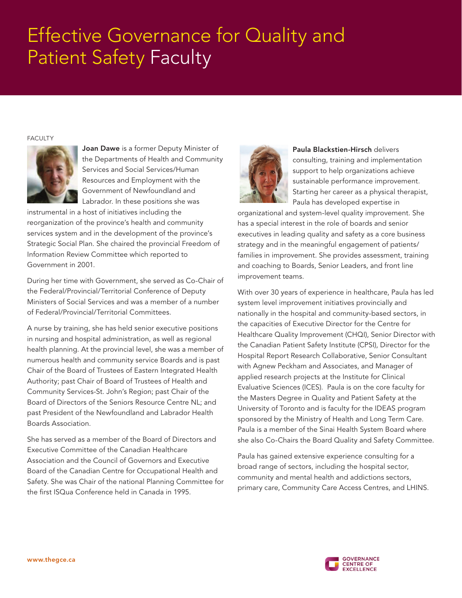# Effective Governance for Quality and Patient Safety Faculty

#### FACULTY



Joan Dawe is a former Deputy Minister of the Departments of Health and Community Services and Social Services/Human Resources and Employment with the Government of Newfoundland and Labrador. In these positions she was

instrumental in a host of initiatives including the reorganization of the province's health and community services system and in the development of the province's Strategic Social Plan. She chaired the provincial Freedom of Information Review Committee which reported to Government in 2001.

During her time with Government, she served as Co-Chair of the Federal/Provincial/Territorial Conference of Deputy Ministers of Social Services and was a member of a number of Federal/Provincial/Territorial Committees.

A nurse by training, she has held senior executive positions in nursing and hospital administration, as well as regional health planning. At the provincial level, she was a member of numerous health and community service Boards and is past Chair of the Board of Trustees of Eastern Integrated Health Authority; past Chair of Board of Trustees of Health and Community Services-St. John's Region; past Chair of the Board of Directors of the Seniors Resource Centre NL; and past President of the Newfoundland and Labrador Health Boards Association.

She has served as a member of the Board of Directors and Executive Committee of the Canadian Healthcare Association and the Council of Governors and Executive Board of the Canadian Centre for Occupational Health and Safety. She was Chair of the national Planning Committee for the first ISQua Conference held in Canada in 1995.



Paula Blackstien-Hirsch delivers consulting, training and implementation support to help organizations achieve sustainable performance improvement. Starting her career as a physical therapist, Paula has developed expertise in

organizational and system-level quality improvement. She has a special interest in the role of boards and senior executives in leading quality and safety as a core business strategy and in the meaningful engagement of patients/ families in improvement. She provides assessment, training and coaching to Boards, Senior Leaders, and front line improvement teams.

With over 30 years of experience in healthcare, Paula has led system level improvement initiatives provincially and nationally in the hospital and community-based sectors, in the capacities of Executive Director for the Centre for Healthcare Quality Improvement (CHQI), Senior Director with the Canadian Patient Safety Institute (CPSI), Director for the Hospital Report Research Collaborative, Senior Consultant with Agnew Peckham and Associates, and Manager of applied research projects at the Institute for Clinical Evaluative Sciences (ICES). Paula is on the core faculty for the Masters Degree in Quality and Patient Safety at the University of Toronto and is faculty for the IDEAS program sponsored by the Ministry of Health and Long Term Care. Paula is a member of the Sinai Health System Board where she also Co-Chairs the Board Quality and Safety Committee.

Paula has gained extensive experience consulting for a broad range of sectors, including the hospital sector, community and mental health and addictions sectors, primary care, Community Care Access Centres, and LHINS.

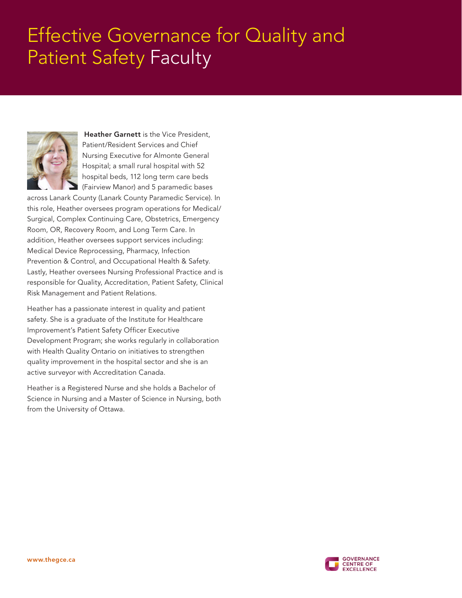# Effective Governance for Quality and Patient Safety Faculty



Heather Garnett is the Vice President, Patient/Resident Services and Chief Nursing Executive for Almonte General Hospital; a small rural hospital with 52 hospital beds, 112 long term care beds (Fairview Manor) and 5 paramedic bases

across Lanark County (Lanark County Paramedic Service). In this role, Heather oversees program operations for Medical/ Surgical, Complex Continuing Care, Obstetrics, Emergency Room, OR, Recovery Room, and Long Term Care. In addition, Heather oversees support services including: Medical Device Reprocessing, Pharmacy, Infection Prevention & Control, and Occupational Health & Safety. Lastly, Heather oversees Nursing Professional Practice and is responsible for Quality, Accreditation, Patient Safety, Clinical Risk Management and Patient Relations.

Heather has a passionate interest in quality and patient safety. She is a graduate of the Institute for Healthcare Improvement's Patient Safety Officer Executive Development Program; she works regularly in collaboration with Health Quality Ontario on initiatives to strengthen quality improvement in the hospital sector and she is an active surveyor with Accreditation Canada.

Heather is a Registered Nurse and she holds a Bachelor of Science in Nursing and a Master of Science in Nursing, both from the University of Ottawa.